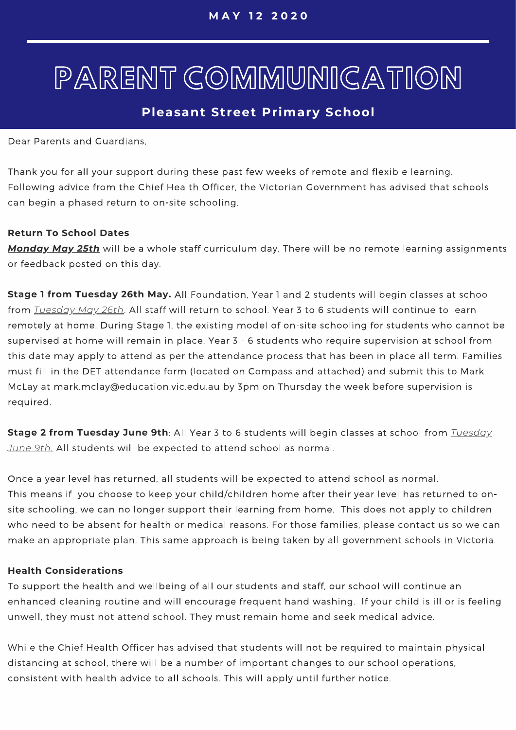# PARENT COMMUNICATION

### **Pleasant Street Primary School**

Dear Parents and Guardians.

Thank you for all your support during these past few weeks of remote and flexible learning. Following advice from the Chief Health Officer, the Victorian Government has advised that schools can begin a phased return to on-site schooling.

#### **Return To School Dates**

*Monday May 25th* or feedback posted on this day.

**Stage 1 from Tuesday 26th May.** *Tuesday May 26th* remotely at home. During Stage 1, the existing model of on-site schooling for students who cannot be supervised at home will remain in place. Year 3 - 6 students who require supervision at school from this date may apply to attend as per the attendance process that has been in place all term. Families must fill in the DET attendance form (located on Compass and attached) and submit this to Mark McLay at mark.mclay@education.vic.edu.au by 3pm on Thursday the week before supervision is required.

**Stage 2 from Tuesday June 9th** *Tuesday June 9th.*

Once a year level has returned, all students will be expected to attend school as normal. This means if you choose to keep your child/children home after their year level has returned to onsite schooling, we can no longer support their learning from home. This does not apply to children who need to be absent for health or medical reasons. For those families, please contact us so we can make an appropriate plan. This same approach is being taken by all government schools in Victoria.

#### **Health Considerations**

To support the health and wellbeing of all our students and staff, our school will continue an enhanced cleaning routine and will encourage frequent hand washing. If your child is ill or is feeling unwell, they must not attend school. They must remain home and seek medical advice.

While the Chief Health Officer has advised that students will not be required to maintain physical distancing at school, there will be a number of important changes to our school operations, consistent with health advice to all schools. This will apply until further notice.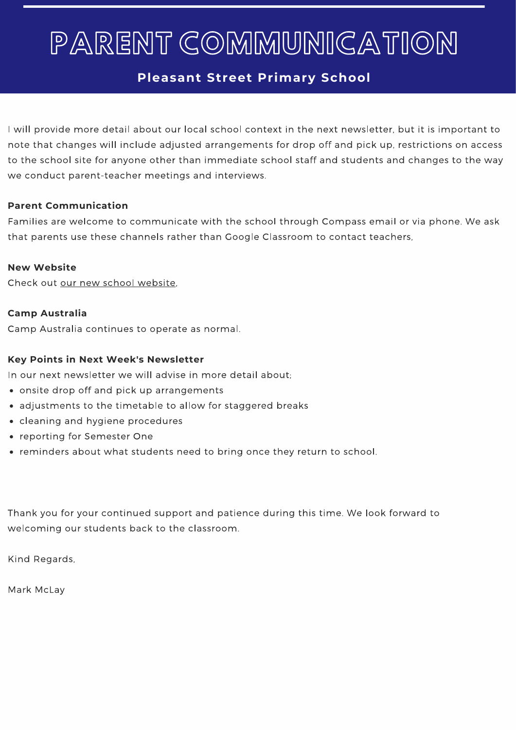# PARENT COMMUNICATION

### **Pleasant Street Primary School**

I will provide more detail about our local school context in the next newsletter, but it is important to note that changes will include adjusted arrangements for drop off and pick up, restrictions on access to the school site for anyone other than immediate school staff and students and changes to the way we conduct parent-teacher meetings and interviews.

#### **Parent Communication**

Families are welcome to communicate with the school through Compass email or via phone. We ask that parents use these channels rather than Google Classroom to contact teachers,

#### **New Website**

Check out our new school website,

#### **Camp Australia**

Camp Australia continues to operate as normal.

#### **Key Points in Next Week's Newsletter**

In our next newsletter we will advise in more detail about:

- onsite drop off and pick up arrangements
- adjustments to the timetable to allow for staggered breaks
- cleaning and hygiene procedures
- reporting for Semester One
- reminders about what students need to bring once they return to school.

Thank you for your continued support and patience during this time. We look forward to welcoming our students back to the classroom.

Kind Regards,

Mark McLay